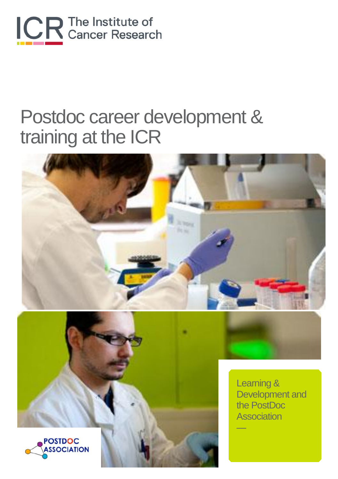

# Postdoc career development & training at the ICR





Learning & Development and the PostDoc **Association** 

—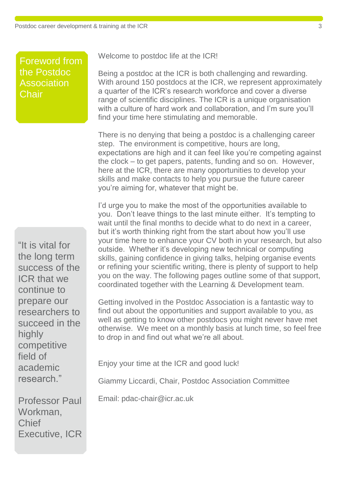Foreword from the Postdoc Association **Chair** 

"It is vital for the long term success of the ICR that we continue to prepare our researchers to succeed in the highly competitive field of academic research."

Professor Paul Workman, Chief Executive, ICR Welcome to postdoc life at the ICR!

Being a postdoc at the ICR is both challenging and rewarding. With around 150 postdocs at the ICR, we represent approximately a quarter of the ICR's research workforce and cover a diverse range of scientific disciplines. The ICR is a unique organisation with a culture of hard work and collaboration, and I'm sure you'll find your time here stimulating and memorable.

There is no denying that being a postdoc is a challenging career step. The environment is competitive, hours are long, expectations are high and it can feel like you're competing against the clock – to get papers, patents, funding and so on. However, here at the ICR, there are many opportunities to develop your skills and make contacts to help you pursue the future career you're aiming for, whatever that might be.

I'd urge you to make the most of the opportunities available to you. Don't leave things to the last minute either. It's tempting to wait until the final months to decide what to do next in a career, but it's worth thinking right from the start about how you'll use your time here to enhance your CV both in your research, but also outside. Whether it's developing new technical or computing skills, gaining confidence in giving talks, helping organise events or refining your scientific writing, there is plenty of support to help you on the way. The following pages outline some of that support, coordinated together with the Learning & Development team.

Getting involved in the Postdoc Association is a fantastic way to find out about the opportunities and support available to you, as well as getting to know other postdocs you might never have met otherwise. We meet on a monthly basis at lunch time, so feel free to drop in and find out what we're all about.

Enjoy your time at the ICR and good luck!

Giammy Liccardi, Chair, Postdoc Association Committee

Email: pdac-chair@icr.ac.uk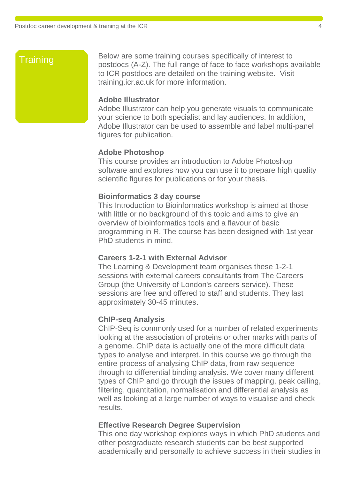## Training **for the Training**

Below are some training courses specifically of interest to postdocs (A-Z). The full range of face to face workshops available to ICR postdocs are detailed on the training website. Visit training.icr.ac.uk for more information.

#### **Adobe Illustrator**

Adobe Illustrator can help you generate visuals to communicate your science to both specialist and lay audiences. In addition, Adobe Illustrator can be used to assemble and label multi-panel figures for publication.

#### **Adobe Photoshop**

This course provides an introduction to Adobe Photoshop software and explores how you can use it to prepare high quality scientific figures for publications or for your thesis.

#### **Bioinformatics 3 day course**

This Introduction to Bioinformatics workshop is aimed at those with little or no background of this topic and aims to give an overview of bioinformatics tools and a flavour of basic programming in R. The course has been designed with 1st year PhD students in mind.

#### **Careers 1-2-1 with External Advisor**

The Learning & Development team organises these 1-2-1 sessions with external careers consultants from The Careers Group (the University of London's careers service). These sessions are free and offered to staff and students. They last approximately 30-45 minutes.

#### **ChIP-seq Analysis**

ChIP-Seq is commonly used for a number of related experiments looking at the association of proteins or other marks with parts of a genome. ChIP data is actually one of the more difficult data types to analyse and interpret. In this course we go through the entire process of analysing ChIP data, from raw sequence through to differential binding analysis. We cover many different types of ChIP and go through the issues of mapping, peak calling, filtering, quantitation, normalisation and differential analysis as well as looking at a large number of ways to visualise and check results.

#### **Effective Research Degree Supervision**

This one day workshop explores ways in which PhD students and other postgraduate research students can be best supported academically and personally to achieve success in their studies in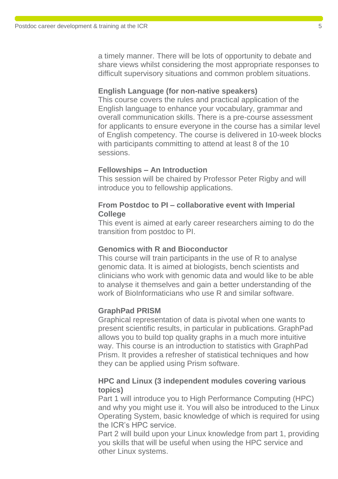a timely manner. There will be lots of opportunity to debate and share views whilst considering the most appropriate responses to difficult supervisory situations and common problem situations.

#### **English Language (for non-native speakers)**

This course covers the rules and practical application of the English language to enhance your vocabulary, grammar and overall communication skills. There is a pre-course assessment for applicants to ensure everyone in the course has a similar level of English competency. The course is delivered in 10-week blocks with participants committing to attend at least 8 of the 10 sessions.

#### **Fellowships – An Introduction**

This session will be chaired by Professor Peter Rigby and will introduce you to fellowship applications.

#### **From Postdoc to PI – collaborative event with Imperial College**

This event is aimed at early career researchers aiming to do the transition from postdoc to PI.

#### **Genomics with R and Bioconductor**

This course will train participants in the use of R to analyse genomic data. It is aimed at biologists, bench scientists and clinicians who work with genomic data and would like to be able to analyse it themselves and gain a better understanding of the work of BioInformaticians who use R and similar software

#### **GraphPad PRISM**

Graphical representation of data is pivotal when one wants to present scientific results, in particular in publications. GraphPad allows you to build top quality graphs in a much more intuitive way. This course is an introduction to statistics with GraphPad Prism. It provides a refresher of statistical techniques and how they can be applied using Prism software.

#### **HPC and Linux (3 independent modules covering various topics)**

Part 1 will introduce you to High Performance Computing (HPC) and why you might use it. You will also be introduced to the Linux Operating System, basic knowledge of which is required for using the ICR's HPC service.

Part 2 will build upon your Linux knowledge from part 1, providing you skills that will be useful when using the HPC service and other Linux systems.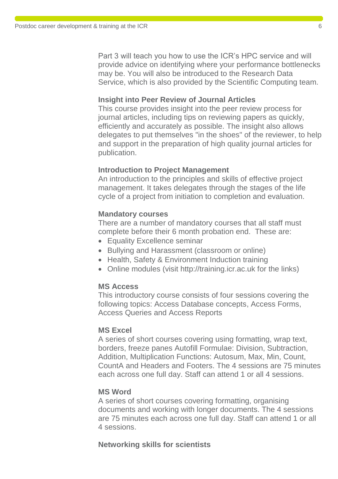Part 3 will teach you how to use the ICR's HPC service and will provide advice on identifying where your performance bottlenecks may be. You will also be introduced to the Research Data Service, which is also provided by the Scientific Computing team.

#### **Insight into Peer Review of Journal Articles**

This course provides insight into the peer review process for journal articles, including tips on reviewing papers as quickly, efficiently and accurately as possible. The insight also allows delegates to put themselves "in the shoes" of the reviewer, to help and support in the preparation of high quality journal articles for publication.

#### **Introduction to Project Management**

An introduction to the principles and skills of effective project management. It takes delegates through the stages of the life cycle of a project from initiation to completion and evaluation.

#### **Mandatory courses**

There are a number of mandatory courses that all staff must complete before their 6 month probation end. These are:

- Equality Excellence seminar
- Bullying and Harassment (classroom or online)
- Health, Safety & Environment Induction training
- Online modules (visit http://training.icr.ac.uk for the links)

#### **MS Access**

This introductory course consists of four sessions covering the following topics: Access Database concepts, Access Forms, Access Queries and Access Reports

#### **MS Excel**

A series of short courses covering using formatting, wrap text, borders, freeze panes Autofill Formulae: Division, Subtraction, Addition, Multiplication Functions: Autosum, Max, Min, Count, CountA and Headers and Footers. The 4 sessions are 75 minutes each across one full day. Staff can attend 1 or all 4 sessions.

#### **MS Word**

A series of short courses covering formatting, organising documents and working with longer documents. The 4 sessions are 75 minutes each across one full day. Staff can attend 1 or all 4 sessions.

#### **Networking skills for scientists**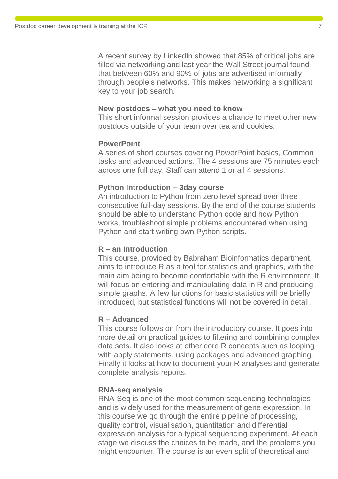A recent survey by LinkedIn showed that 85% of critical jobs are filled via networking and last year the Wall Street journal found that between 60% and 90% of jobs are advertised informally through people's networks. This makes networking a significant key to your job search.

#### **New postdocs – what you need to know**

This short informal session provides a chance to meet other new postdocs outside of your team over tea and cookies.

#### **PowerPoint**

A series of short courses covering PowerPoint basics, Common tasks and advanced actions. The 4 sessions are 75 minutes each across one full day. Staff can attend 1 or all 4 sessions.

#### **Python Introduction – 3day course**

An introduction to Python from zero level spread over three consecutive full-day sessions. By the end of the course students should be able to understand Python code and how Python works, troubleshoot simple problems encountered when using Python and start writing own Python scripts.

#### **R – an Introduction**

This course, provided by Babraham Bioinformatics department, aims to introduce R as a tool for statistics and graphics, with the main aim being to become comfortable with the R environment. It will focus on entering and manipulating data in R and producing simple graphs. A few functions for basic statistics will be briefly introduced, but statistical functions will not be covered in detail.

#### **R – Advanced**

This course follows on from the introductory course. It goes into more detail on practical guides to filtering and combining complex data sets. It also looks at other core R concepts such as looping with apply statements, using packages and advanced graphing. Finally it looks at how to document your R analyses and generate complete analysis reports.

#### **RNA-seq analysis**

RNA-Seq is one of the most common sequencing technologies and is widely used for the measurement of gene expression. In this course we go through the entire pipeline of processing, quality control, visualisation, quantitation and differential expression analysis for a typical sequencing experiment. At each stage we discuss the choices to be made, and the problems you might encounter. The course is an even split of theoretical and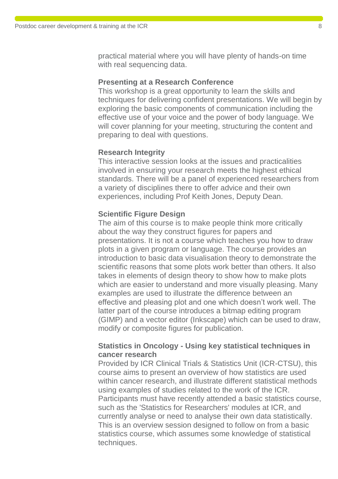practical material where you will have plenty of hands-on time with real sequencing data.

#### **Presenting at a Research Conference**

This workshop is a great opportunity to learn the skills and techniques for delivering confident presentations. We will begin by exploring the basic components of communication including the effective use of your voice and the power of body language. We will cover planning for your meeting, structuring the content and preparing to deal with questions.

#### **Research Integrity**

This interactive session looks at the issues and practicalities involved in ensuring your research meets the highest ethical standards. There will be a panel of experienced researchers from a variety of disciplines there to offer advice and their own experiences, including Prof Keith Jones, Deputy Dean.

#### **Scientific Figure Design**

The aim of this course is to make people think more critically about the way they construct figures for papers and presentations. It is not a course which teaches you how to draw plots in a given program or language. The course provides an introduction to basic data visualisation theory to demonstrate the scientific reasons that some plots work better than others. It also takes in elements of design theory to show how to make plots which are easier to understand and more visually pleasing. Many examples are used to illustrate the difference between an effective and pleasing plot and one which doesn't work well. The latter part of the course introduces a bitmap editing program (GIMP) and a vector editor (Inkscape) which can be used to draw, modify or composite figures for publication.

#### **Statistics in Oncology - Using key statistical techniques in cancer research**

Provided by ICR Clinical Trials & Statistics Unit (ICR-CTSU), this course aims to present an overview of how statistics are used within cancer research, and illustrate different statistical methods using examples of studies related to the work of the ICR. Participants must have recently attended a basic statistics course, such as the 'Statistics for Researchers' modules at ICR, and currently analyse or need to analyse their own data statistically. This is an overview session designed to follow on from a basic statistics course, which assumes some knowledge of statistical techniques.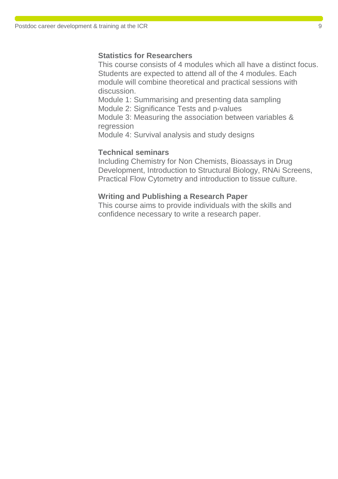#### **Statistics for Researchers**

This course consists of 4 modules which all have a distinct focus. Students are expected to attend all of the 4 modules. Each module will combine theoretical and practical sessions with discussion.

Module 1: Summarising and presenting data sampling Module 2: Significance Tests and p-values

Module 3: Measuring the association between variables & regression

Module 4: Survival analysis and study designs

#### **Technical seminars**

Including Chemistry for Non Chemists, Bioassays in Drug Development, Introduction to Structural Biology, RNAi Screens, Practical Flow Cytometry and introduction to tissue culture.

#### **Writing and Publishing a Research Paper**

This course aims to provide individuals with the skills and confidence necessary to write a research paper.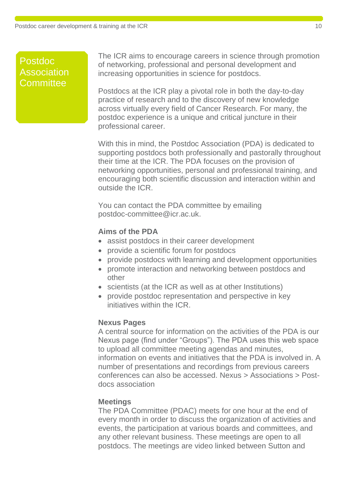#### Postdoc As Committee Postdoc<br>Association<br>Committee Association

The ICR aims to encourage careers in science through promotion of networking, professional and personal development and increasing opportunities in science for postdocs.

Postdocs at the ICR play a pivotal role in both the day-to-day practice of research and to the discovery of new knowledge across virtually every field of Cancer Research. For many, the postdoc experience is a unique and critical juncture in their professional career.

With this in mind, the Postdoc Association (PDA) is dedicated to supporting postdocs both professionally and pastorally throughout their time at the ICR. The PDA focuses on the provision of networking opportunities, personal and professional training, and encouraging both scientific discussion and interaction within and outside the ICR.

You can contact the PDA committee by emailing postdoc-committee@icr.ac.uk.

#### **Aims of the PDA**

- assist postdocs in their career development
- provide a scientific forum for postdocs
- provide postdocs with learning and development opportunities
- promote interaction and networking between postdocs and other
- scientists (at the ICR as well as at other Institutions)
- provide postdoc representation and perspective in key initiatives within the ICR.

#### **Nexus Pages**

A central source for information on the activities of the PDA is our Nexus page (find under "Groups"). The PDA uses this web space to upload all committee meeting agendas and minutes, information on events and initiatives that the PDA is involved in. A number of presentations and recordings from previous careers conferences can also be accessed. Nexus > Associations > Postdocs association

#### **Meetings**

The PDA Committee (PDAC) meets for one hour at the end of every month in order to discuss the organization of activities and events, the participation at various boards and committees, and any other relevant business. These meetings are open to all postdocs. The meetings are video linked between Sutton and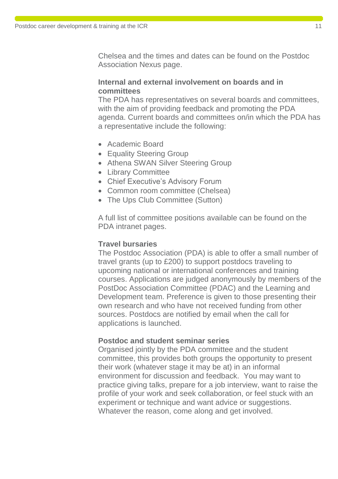Chelsea and the times and dates can be found on the Postdoc Association Nexus page.

#### **Internal and external involvement on boards and in committees**

The PDA has representatives on several boards and committees, with the aim of providing feedback and promoting the PDA agenda. Current boards and committees on/in which the PDA has a representative include the following:

- Academic Board
- Equality Steering Group
- Athena SWAN Silver Steering Group
- Library Committee
- Chief Executive's Advisory Forum
- Common room committee (Chelsea)
- The Ups Club Committee (Sutton)

A full list of committee positions available can be found on the PDA intranet pages.

#### **Travel bursaries**

The Postdoc Association (PDA) is able to offer a small number of travel grants (up to £200) to support postdocs traveling to upcoming national or international conferences and training courses. Applications are judged anonymously by members of the PostDoc Association Committee (PDAC) and the Learning and Development team. Preference is given to those presenting their own research and who have not received funding from other sources. Postdocs are notified by email when the call for applications is launched.

#### **Postdoc and student seminar series**

Organised jointly by the PDA committee and the student committee, this provides both groups the opportunity to present their work (whatever stage it may be at) in an informal environment for discussion and feedback. You may want to practice giving talks, prepare for a job interview, want to raise the profile of your work and seek collaboration, or feel stuck with an experiment or technique and want advice or suggestions. Whatever the reason, come along and get involved.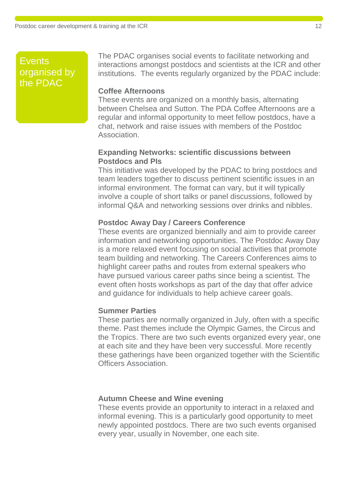## Events organised by  $the$  PDAC  $\sim$

The PDAC organises social events to facilitate networking and interactions amongst postdocs and scientists at the ICR and other institutions. The events regularly organized by the PDAC include:

#### **Coffee Afternoons**

These events are organized on a monthly basis, alternating between Chelsea and Sutton. The PDA Coffee Afternoons are a regular and informal opportunity to meet fellow postdocs, have a chat, network and raise issues with members of the Postdoc Association.

#### **Expanding Networks: scientific discussions between Postdocs and PIs**

This initiative was developed by the PDAC to bring postdocs and team leaders together to discuss pertinent scientific issues in an informal environment. The format can vary, but it will typically involve a couple of short talks or panel discussions, followed by informal Q&A and networking sessions over drinks and nibbles.

#### **Postdoc Away Day / Careers Conference**

These events are organized biennially and aim to provide career information and networking opportunities. The Postdoc Away Day is a more relaxed event focusing on social activities that promote team building and networking. The Careers Conferences aims to highlight career paths and routes from external speakers who have pursued various career paths since being a scientist. The event often hosts workshops as part of the day that offer advice and guidance for individuals to help achieve career goals.

#### **Summer Parties**

These parties are normally organized in July, often with a specific theme. Past themes include the Olympic Games, the Circus and the Tropics. There are two such events organized every year, one at each site and they have been very successful. More recently these gatherings have been organized together with the Scientific Officers Association.

#### **Autumn Cheese and Wine evening**

These events provide an opportunity to interact in a relaxed and informal evening. This is a particularly good opportunity to meet newly appointed postdocs. There are two such events organised every year, usually in November, one each site.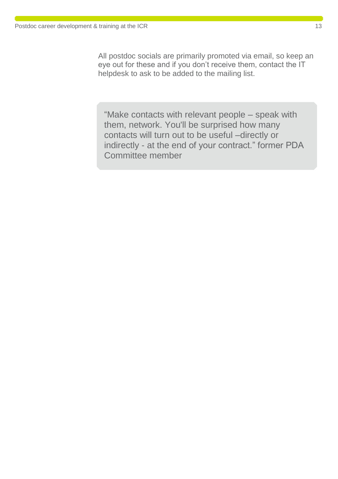All postdoc socials are primarily promoted via email, so keep an eye out for these and if you don't receive them, contact the IT helpdesk to ask to be added to the mailing list.

"Make contacts with relevant people – speak with them, network. You'll be surprised how many contacts will turn out to be useful –directly or indirectly - at the end of your contract." former PDA Committee member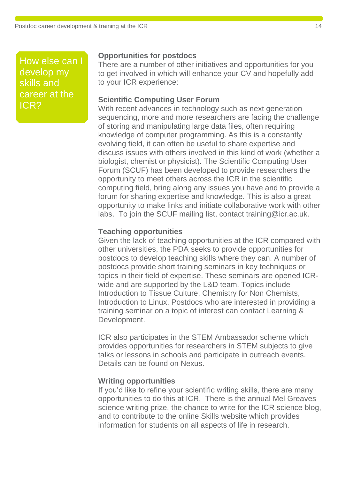How else can I develop my skills and career at the ICR?

#### **Opportunities for postdocs**

There are a number of other initiatives and opportunities for you to get involved in which will enhance your CV and hopefully add to your ICR experience:

#### **Scientific Computing User Forum**

With recent advances in technology such as next generation sequencing, more and more researchers are facing the challenge of storing and manipulating large data files, often requiring knowledge of computer programming. As this is a constantly evolving field, it can often be useful to share expertise and discuss issues with others involved in this kind of work (whether a biologist, chemist or physicist). The Scientific Computing User Forum (SCUF) has been developed to provide researchers the opportunity to meet others across the ICR in the scientific computing field, bring along any issues you have and to provide a forum for sharing expertise and knowledge. This is also a great opportunity to make links and initiate collaborative work with other labs. To join the SCUF mailing list, contact training@icr.ac.uk.

#### **Teaching opportunities**

Given the lack of teaching opportunities at the ICR compared with other universities, the PDA seeks to provide opportunities for postdocs to develop teaching skills where they can. A number of postdocs provide short training seminars in key techniques or topics in their field of expertise. These seminars are opened ICRwide and are supported by the L&D team. Topics include Introduction to Tissue Culture, Chemistry for Non Chemists, Introduction to Linux. Postdocs who are interested in providing a training seminar on a topic of interest can contact Learning & Development.

ICR also participates in the STEM Ambassador scheme which provides opportunities for researchers in STEM subjects to give talks or lessons in schools and participate in outreach events. Details can be found on Nexus.

#### **Writing opportunities**

If you'd like to refine your scientific writing skills, there are many opportunities to do this at ICR. There is the annual Mel Greaves science writing prize, the chance to write for the ICR science blog, and to contribute to the online Skills website which provides information for students on all aspects of life in research.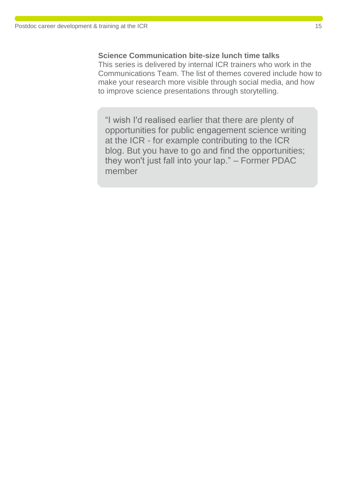#### **Science Communication bite-size lunch time talks**

This series is delivered by internal ICR trainers who work in the Communications Team. The list of themes covered include how to make your research more visible through social media, and how to improve science presentations through storytelling.

"I wish I'd realised earlier that there are plenty of opportunities for public engagement science writing at the ICR - for example contributing to the ICR blog. But you have to go and find the opportunities; they won't just fall into your lap." – Former PDAC member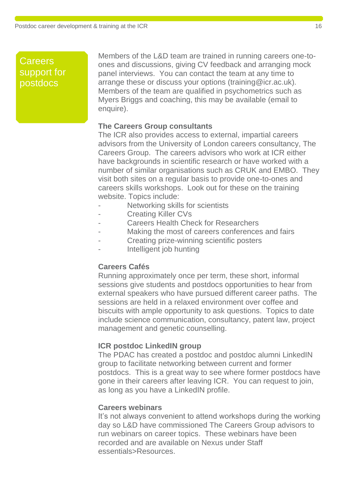## **Careers** support for postdocs

Members of the L&D team are trained in running careers one-toones and discussions, giving CV feedback and arranging mock panel interviews. You can contact the team at any time to arrange these or discuss your options (training@icr.ac.uk). Members of the team are qualified in psychometrics such as Myers Briggs and coaching, this may be available (email to enquire).

#### **The Careers Group consultants**

The ICR also provides access to external, impartial careers advisors from the University of London careers consultancy, The Careers Group. The careers advisors who work at ICR either have backgrounds in scientific research or have worked with a number of similar organisations such as CRUK and EMBO. They visit both sites on a regular basis to provide one-to-ones and careers skills workshops. Look out for these on the training website. Topics include:

- Networking skills for scientists
- Creating Killer CVs
- Careers Health Check for Researchers
- Making the most of careers conferences and fairs
- Creating prize-winning scientific posters
- Intelligent job hunting

#### **Careers Cafés**

Running approximately once per term, these short, informal sessions give students and postdocs opportunities to hear from external speakers who have pursued different career paths. The sessions are held in a relaxed environment over coffee and biscuits with ample opportunity to ask questions. Topics to date include science communication, consultancy, patent law, project management and genetic counselling.

#### **ICR postdoc LinkedIN group**

The PDAC has created a postdoc and postdoc alumni LinkedIN group to facilitate networking between current and former postdocs. This is a great way to see where former postdocs have gone in their careers after leaving ICR. You can request to join, as long as you have a LinkedIN profile.

#### **Careers webinars**

It's not always convenient to attend workshops during the working day so L&D have commissioned The Careers Group advisors to run webinars on career topics. These webinars have been recorded and are available on Nexus under Staff essentials>Resources.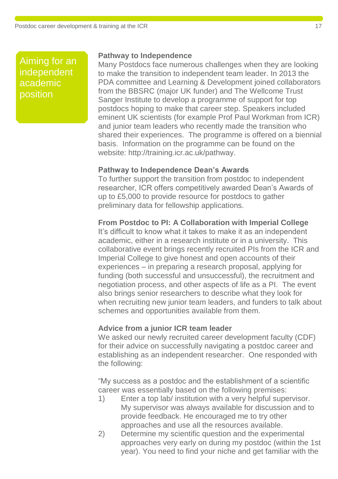Aiming for an<br>independent<br>academic<br>position independent acaḋemic Session nosition<br>position

#### **Pathway to Independence**

Many Postdocs face numerous challenges when they are looking to make the transition to independent team leader. In 2013 the PDA committee and Learning & Development joined collaborators from the BBSRC (major UK funder) and The Wellcome Trust Sanger Institute to develop a programme of support for top postdocs hoping to make that career step. Speakers included eminent UK scientists (for example Prof Paul Workman from ICR) and junior team leaders who recently made the transition who shared their experiences. The programme is offered on a biennial basis. Information on the programme can be found on the website: http://training.icr.ac.uk/pathway.

#### **Pathway to Independence Dean's Awards**

To further support the transition from postdoc to independent researcher, ICR offers competitively awarded Dean's Awards of up to £5,000 to provide resource for postdocs to gather preliminary data for fellowship applications.

### **From Postdoc to PI: A Collaboration with Imperial College**

It's difficult to know what it takes to make it as an independent academic, either in a research institute or in a university. This collaborative event brings recently recruited PIs from the ICR and Imperial College to give honest and open accounts of their experiences – in preparing a research proposal, applying for funding (both successful and unsuccessful), the recruitment and negotiation process, and other aspects of life as a PI. The event also brings senior researchers to describe what they look for when recruiting new junior team leaders, and funders to talk about schemes and opportunities available from them.

#### **Advice from a junior ICR team leader**

We asked our newly recruited career development faculty (CDF) for their advice on successfully navigating a postdoc career and establishing as an independent researcher. One responded with the following:

"My success as a postdoc and the establishment of a scientific career was essentially based on the following premises:

- 1) Enter a top lab/ institution with a very helpful supervisor. My supervisor was always available for discussion and to provide feedback. He encouraged me to try other approaches and use all the resources available.
- 2) Determine my scientific question and the experimental approaches very early on during my postdoc (within the 1st year). You need to find your niche and get familiar with the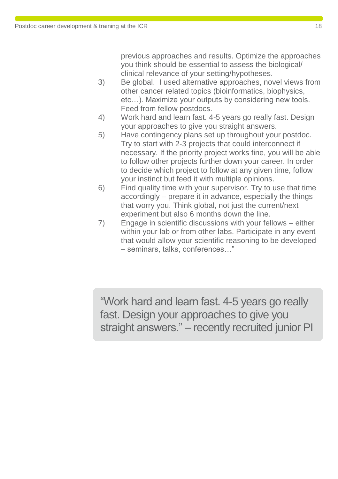previous approaches and results. Optimize the approaches you think should be essential to assess the biological/ clinical relevance of your setting/hypotheses.

- 3) Be global. I used alternative approaches, novel views from other cancer related topics (bioinformatics, biophysics, etc…). Maximize your outputs by considering new tools. Feed from fellow postdocs.
- 4) Work hard and learn fast. 4-5 years go really fast. Design your approaches to give you straight answers.
- 5) Have contingency plans set up throughout your postdoc. Try to start with 2-3 projects that could interconnect if necessary. If the priority project works fine, you will be able to follow other projects further down your career. In order to decide which project to follow at any given time, follow your instinct but feed it with multiple opinions.
- 6) Find quality time with your supervisor. Try to use that time accordingly – prepare it in advance, especially the things that worry you. Think global, not just the current/next experiment but also 6 months down the line.
- 7) Engage in scientific discussions with your fellows either within your lab or from other labs. Participate in any event that would allow your scientific reasoning to be developed – seminars, talks, conferences…"

"Work hard and learn fast. 4-5 years go really fast. Design your approaches to give you straight answers." – recently recruited junior PI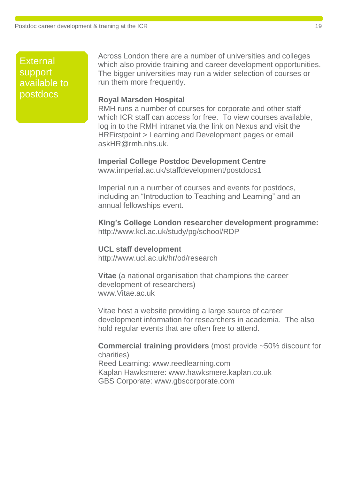**External** support available to postdocs

Across London there are a number of universities and colleges which also provide training and career development opportunities. The bigger universities may run a wider selection of courses or run them more frequently.

#### **Royal Marsden Hospital**

RMH runs a number of courses for corporate and other staff which ICR staff can access for free. To view courses available, log in to the RMH intranet via the link on Nexus and visit the HRFirstpoint > Learning and Development pages or email askHR@rmh.nhs.uk.

**Imperial College Postdoc Development Centre** www.imperial.ac.uk/staffdevelopment/postdocs1

Imperial run a number of courses and events for postdocs, including an "Introduction to Teaching and Learning" and an annual fellowships event.

**King's College London researcher development programme:** http://www.kcl.ac.uk/study/pg/school/RDP

**UCL staff development** http://www.ucl.ac.uk/hr/od/research

**Vitae** (a national organisation that champions the career development of researchers) www.Vitae.ac.uk

Vitae host a website providing a large source of career development information for researchers in academia. The also hold regular events that are often free to attend.

**Commercial training providers** (most provide ~50% discount for charities) Reed Learning: www.reedlearning.com Kaplan Hawksmere: www.hawksmere.kaplan.co.uk GBS Corporate: www.gbscorporate.com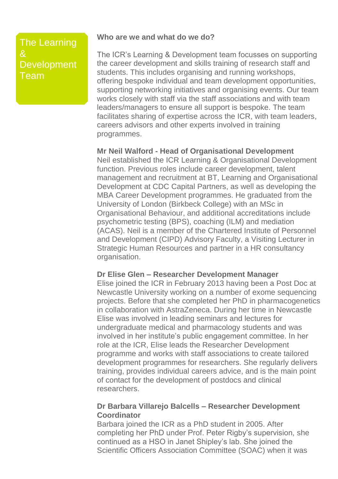## The Learning **Development** Team

#### **Who are we and what do we do?**

The ICR's Learning & Development team focusses on supporting the career development and skills training of research staff and students. This includes organising and running workshops, offering bespoke individual and team development opportunities, supporting networking initiatives and organising events. Our team works closely with staff via the staff associations and with team leaders/managers to ensure all support is bespoke. The team facilitates sharing of expertise across the ICR, with team leaders, careers advisors and other experts involved in training programmes.

#### **Mr Neil Walford - Head of Organisational Development**

Neil established the ICR Learning & Organisational Development function. Previous roles include career development, talent management and recruitment at BT, Learning and Organisational Development at CDC Capital Partners, as well as developing the MBA Career Development programmes. He graduated from the University of London (Birkbeck College) with an MSc in Organisational Behaviour, and additional accreditations include psychometric testing (BPS), coaching (ILM) and mediation (ACAS). Neil is a member of the Chartered Institute of Personnel and Development (CIPD) Advisory Faculty, a Visiting Lecturer in Strategic Human Resources and partner in a HR consultancy organisation.

#### **Dr Elise Glen – Researcher Development Manager**

Elise joined the ICR in February 2013 having been a Post Doc at Newcastle University working on a number of exome sequencing projects. Before that she completed her PhD in pharmacogenetics in collaboration with AstraZeneca. During her time in Newcastle Elise was involved in leading seminars and lectures for undergraduate medical and pharmacology students and was involved in her institute's public engagement committee. In her role at the ICR, Elise leads the Researcher Development programme and works with staff associations to create tailored development programmes for researchers. She regularly delivers training, provides individual careers advice, and is the main point of contact for the development of postdocs and clinical researchers.

#### **Dr Barbara Villarejo Balcells – Researcher Development Coordinator**

Barbara joined the ICR as a PhD student in 2005. After completing her PhD under Prof. Peter Rigby's supervision, she continued as a HSO in Janet Shipley's lab. She joined the Scientific Officers Association Committee (SOAC) when it was